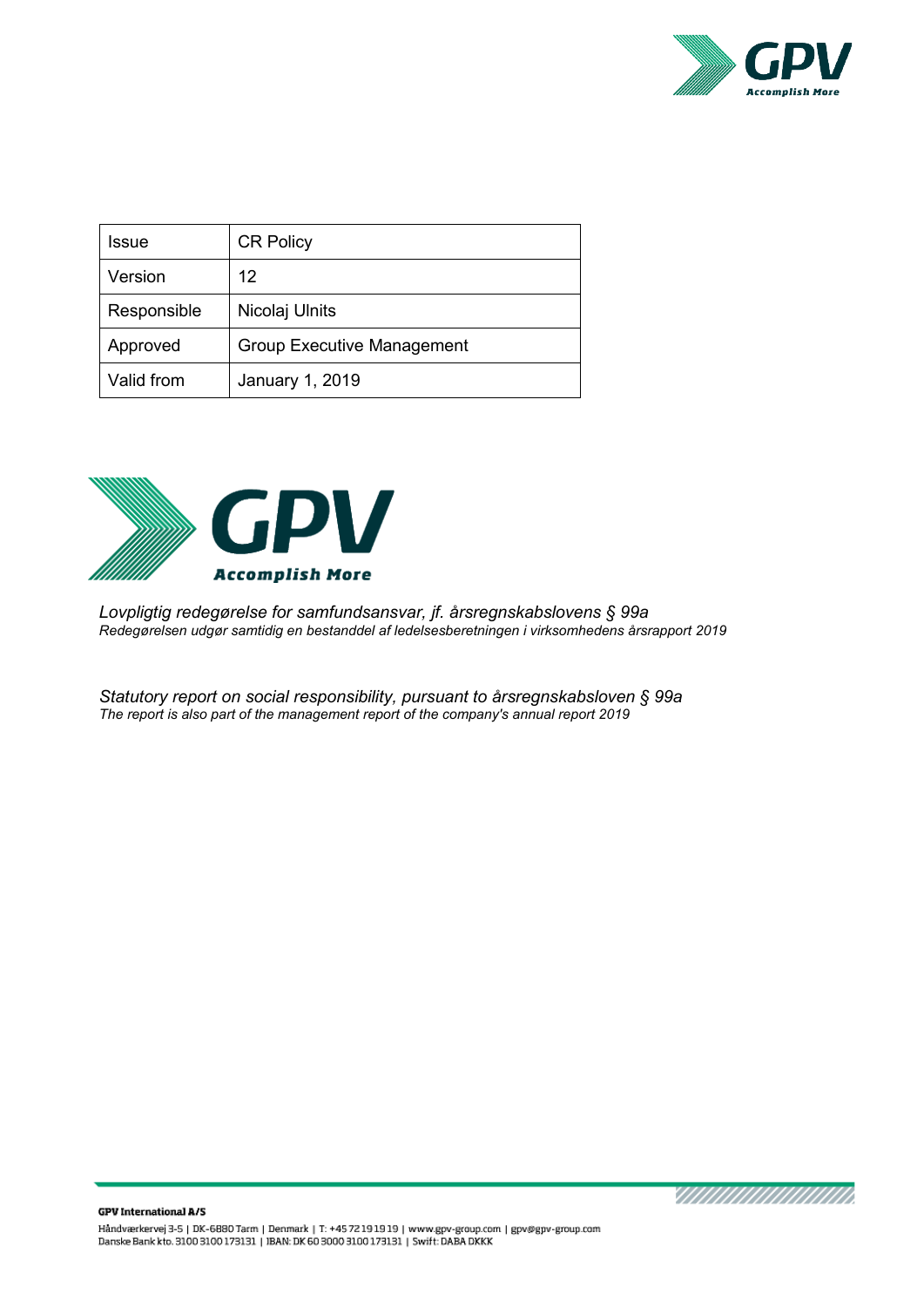

| Issue       | <b>CR Policy</b>                  |
|-------------|-----------------------------------|
| Version     | 12                                |
| Responsible | Nicolaj Ulnits                    |
| Approved    | <b>Group Executive Management</b> |
| Valid from  | January 1, 2019                   |



*Lovpligtig redegørelse for samfundsansvar, jf. årsregnskabslovens § 99a Redegørelsen udgør samtidig en bestanddel af ledelsesberetningen i virksomhedens årsrapport 2019* 

*Statutory report on social responsibility, pursuant to årsregnskabsloven § 99a The report is also part of the management report of the company's annual report 2019* 

annannanna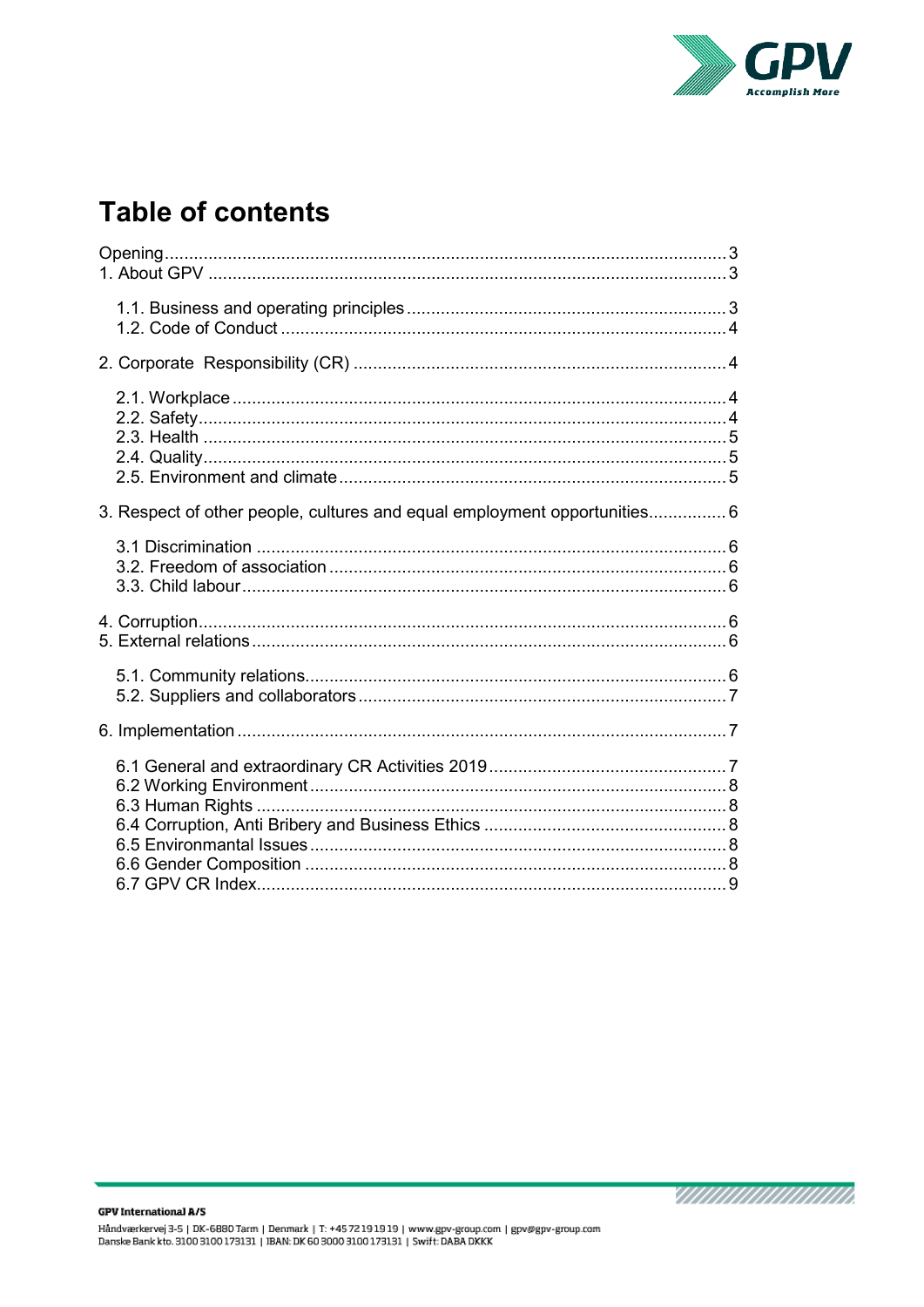

# **Table of contents**

| 3. Respect of other people, cultures and equal employment opportunities 6 |
|---------------------------------------------------------------------------|
|                                                                           |
|                                                                           |
|                                                                           |
|                                                                           |
|                                                                           |

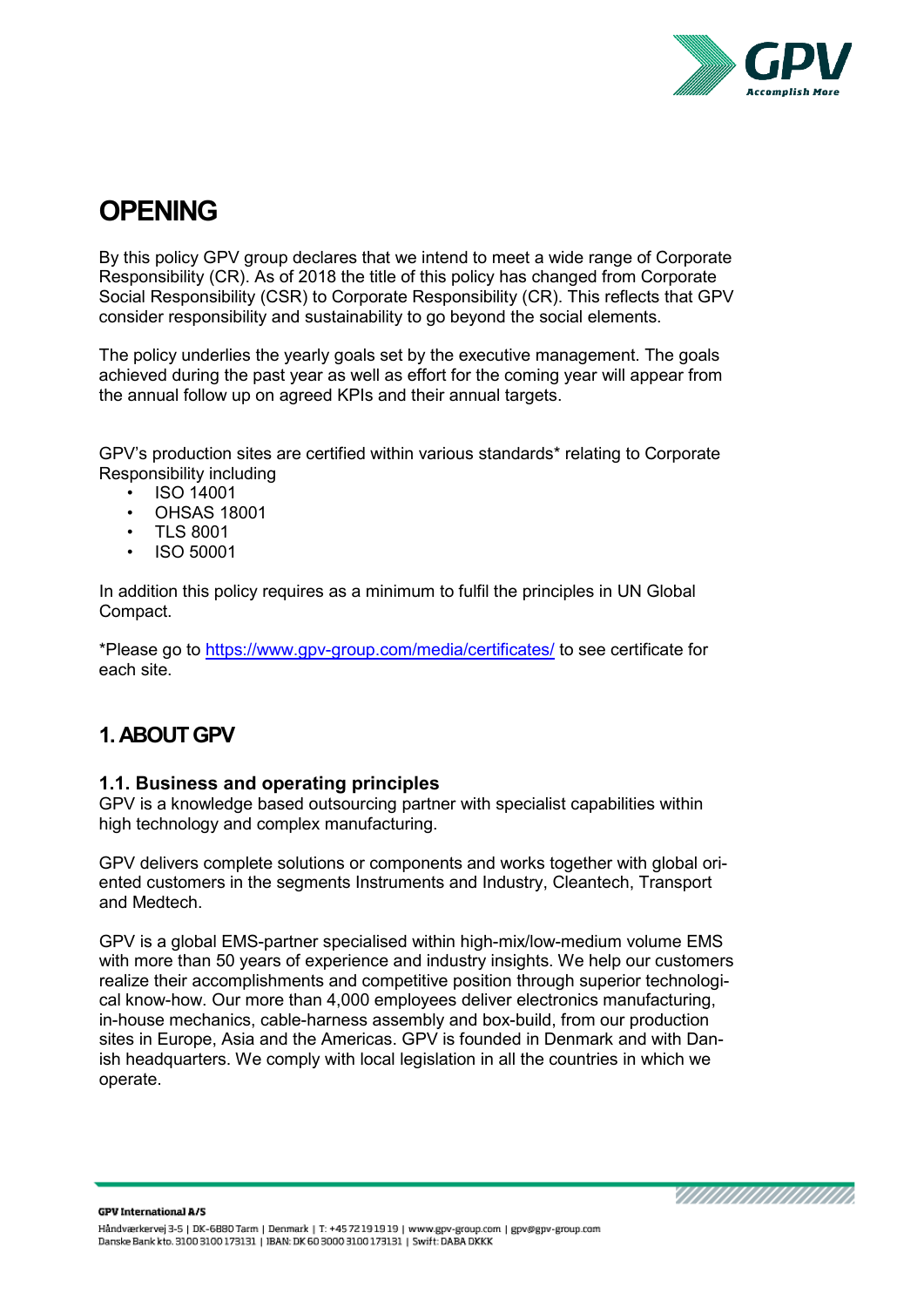

# <span id="page-2-0"></span>**OPENING**

By this policy GPV group declares that we intend to meet a wide range of Corporate Responsibility (CR). As of 2018 the title of this policy has changed from Corporate Social Responsibility (CSR) to Corporate Responsibility (CR). This reflects that GPV consider responsibility and sustainability to go beyond the social elements.

The policy underlies the yearly goals set by the executive management. The goals achieved during the past year as well as effort for the coming year will appear from the annual follow up on agreed KPIs and their annual targets.

GPV's production sites are certified within various standards\* relating to Corporate Responsibility including

- ISO 14001
- OHSAS 18001
- TLS 8001
- ISO 50001

In addition this policy requires as a minimum to fulfil the principles in UN Global Compact.

\*Please go to<https://www.gpv-group.com/media/certificates/> to see certificate for each site.

# <span id="page-2-1"></span>**1. ABOUT GPV**

#### <span id="page-2-2"></span>**1.1. Business and operating principles**

GPV is a knowledge based outsourcing partner with specialist capabilities within high technology and complex manufacturing.

GPV delivers complete solutions or components and works together with global oriented customers in the segments Instruments and Industry, Cleantech, Transport and Medtech.

GPV is a global EMS-partner specialised within high-mix/low-medium volume EMS with more than 50 years of experience and industry insights. We help our customers realize their accomplishments and competitive position through superior technological know-how. Our more than 4,000 employees deliver electronics manufacturing, in-house mechanics, cable-harness assembly and box-build, from our production sites in Europe, Asia and the Americas. GPV is founded in Denmark and with Danish headquarters. We comply with local legislation in all the countries in which we operate.

IIIIIIIIIIIIIIIIIII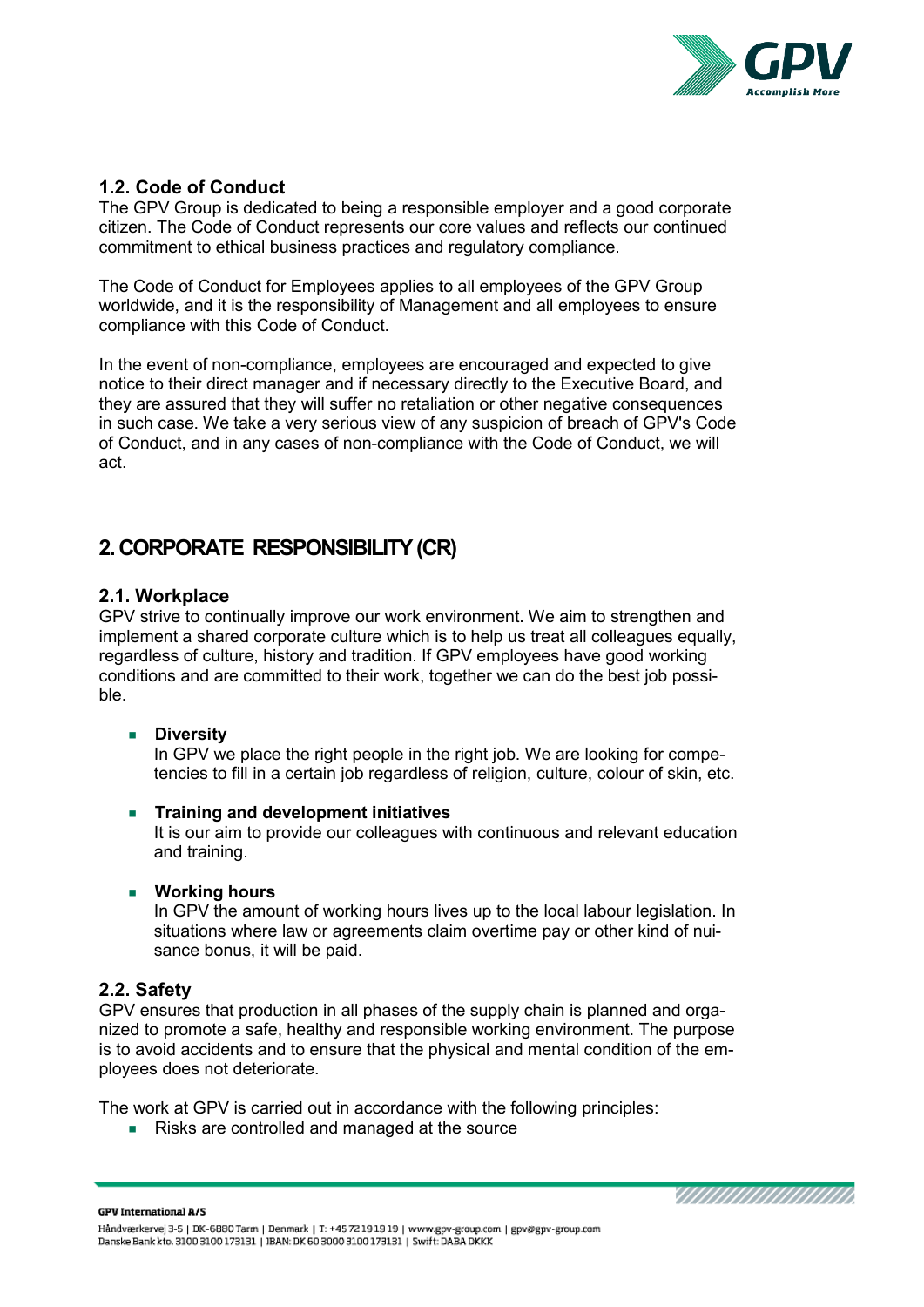

#### <span id="page-3-0"></span>**1.2. Code of Conduct**

The GPV Group is dedicated to being a responsible employer and a good corporate citizen. The Code of Conduct represents our core values and reflects our continued commitment to ethical business practices and regulatory compliance.

The Code of Conduct for Employees applies to all employees of the GPV Group worldwide, and it is the responsibility of Management and all employees to ensure compliance with this Code of Conduct.

In the event of non-compliance, employees are encouraged and expected to give notice to their direct manager and if necessary directly to the Executive Board, and they are assured that they will suffer no retaliation or other negative consequences in such case. We take a very serious view of any suspicion of breach of GPV's Code of Conduct, and in any cases of non-compliance with the Code of Conduct, we will act.

## <span id="page-3-1"></span>**2. CORPORATE RESPONSIBILITY (CR)**

#### <span id="page-3-2"></span>**2.1. Workplace**

GPV strive to continually improve our work environment. We aim to strengthen and implement a shared corporate culture which is to help us treat all colleagues equally, regardless of culture, history and tradition. If GPV employees have good working conditions and are committed to their work, together we can do the best job possible.

#### **Diversity**

In GPV we place the right people in the right job. We are looking for competencies to fill in a certain job regardless of religion, culture, colour of skin, etc.

#### **Training and development initiatives**

It is our aim to provide our colleagues with continuous and relevant education and training.

#### **Working hours**

In GPV the amount of working hours lives up to the local labour legislation. In situations where law or agreements claim overtime pay or other kind of nuisance bonus, it will be paid.

#### <span id="page-3-3"></span>**2.2. Safety**

GPV ensures that production in all phases of the supply chain is planned and organized to promote a safe, healthy and responsible working environment. The purpose is to avoid accidents and to ensure that the physical and mental condition of the employees does not deteriorate.

The work at GPV is carried out in accordance with the following principles:

Risks are controlled and managed at the source

**GPV International A/S**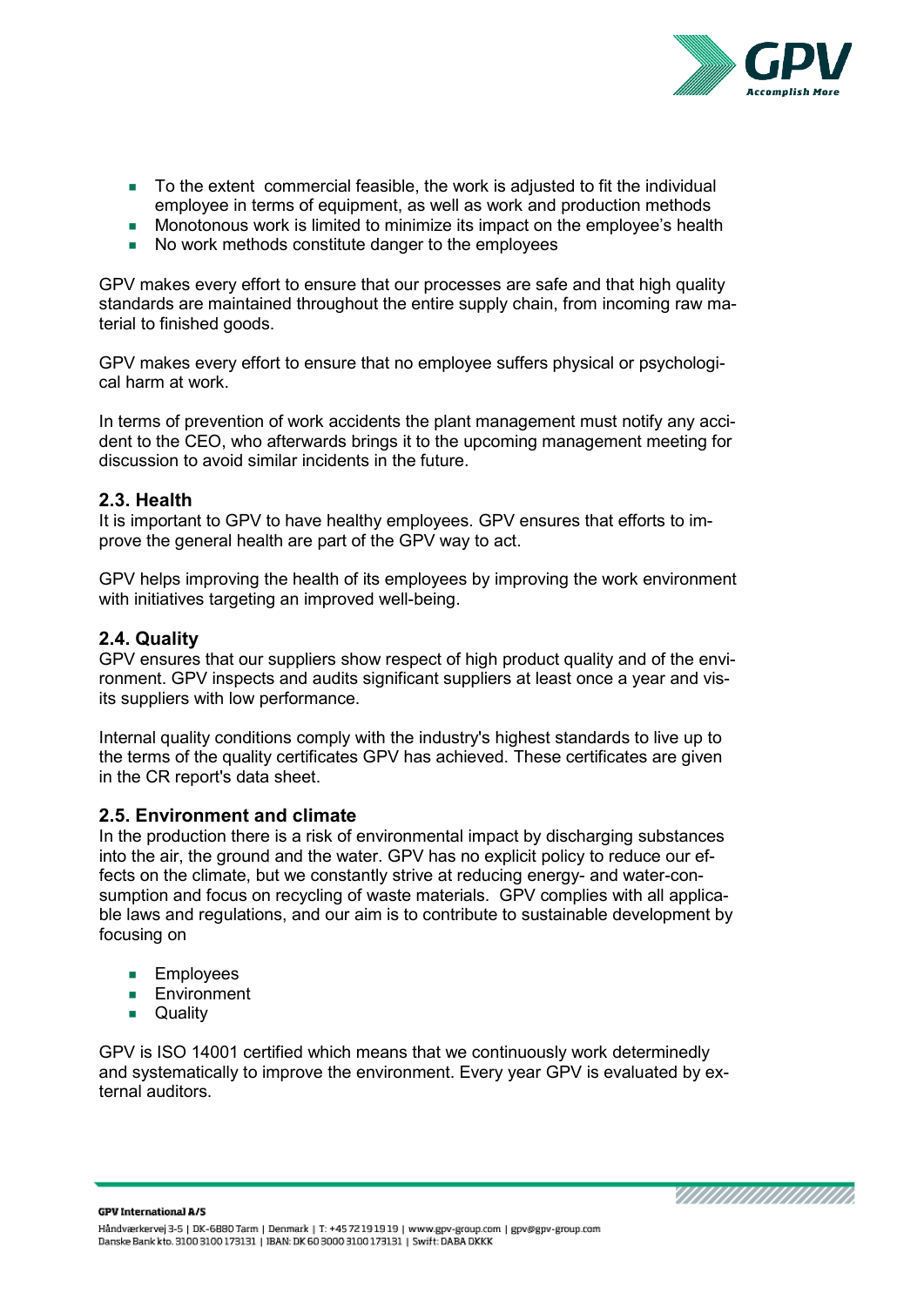

- To the extent commercial feasible, the work is adjusted to fit the individual employee in terms of equipment, as well as work and production methods
- Monotonous work is limited to minimize its impact on the employee's health
- No work methods constitute danger to the employees

GPV makes every effort to ensure that our processes are safe and that high quality standards are maintained throughout the entire supply chain, from incoming raw material to finished goods.

GPV makes every effort to ensure that no employee suffers physical or psychological harm at work.

In terms of prevention of work accidents the plant management must notify any accident to the CEO, who afterwards brings it to the upcoming management meeting for discussion to avoid similar incidents in the future.

#### <span id="page-4-0"></span>**2.3. Health**

It is important to GPV to have healthy employees. GPV ensures that efforts to improve the general health are part of the GPV way to act.

GPV helps improving the health of its employees by improving the work environment with initiatives targeting an improved well-being.

#### <span id="page-4-1"></span>**2.4. Quality**

GPV ensures that our suppliers show respect of high product quality and of the environment. GPV inspects and audits significant suppliers at least once a year and visits suppliers with low performance.

Internal quality conditions comply with the industry's highest standards to live up to the terms of the quality certificates GPV has achieved. These certificates are given in the CR report's data sheet.

#### <span id="page-4-2"></span>**2.5. Environment and climate**

In the production there is a risk of environmental impact by discharging substances into the air, the ground and the water. GPV has no explicit policy to reduce our effects on the climate, but we constantly strive at reducing energy- and water-consumption and focus on recycling of waste materials. GPV complies with all applicable laws and regulations, and our aim is to contribute to sustainable development by focusing on

- **Employees**
- **Environment**
- **Quality**

GPV is ISO 14001 certified which means that we continuously work determinedly and systematically to improve the environment. Every year GPV is evaluated by external auditors.

**GPV International A/S**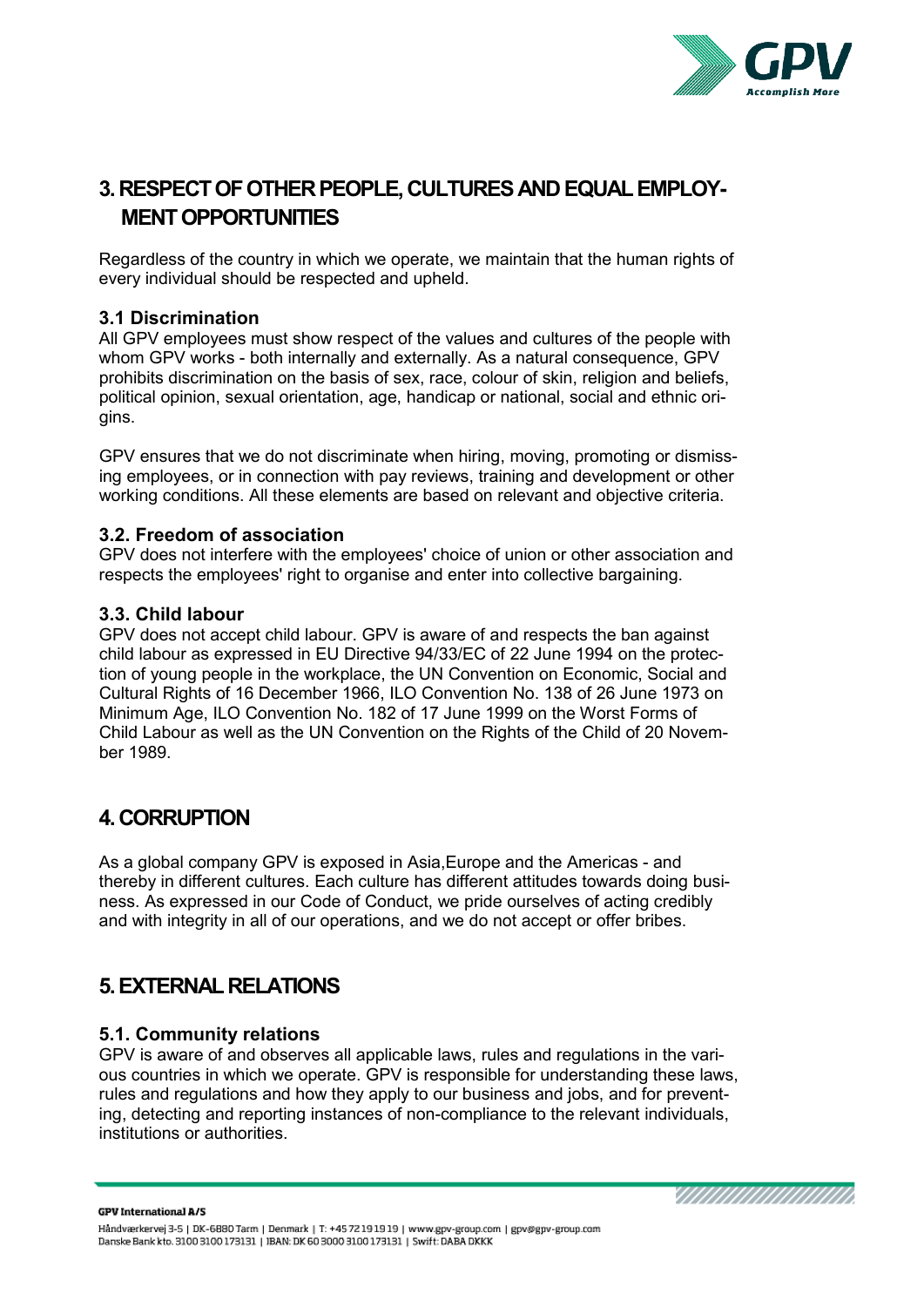

# <span id="page-5-0"></span>**3. RESPECT OF OTHER PEOPLE, CULTURES ANDEQUAL EMPLOY-MENT OPPORTUNITIES**

Regardless of the country in which we operate, we maintain that the human rights of every individual should be respected and upheld.

#### <span id="page-5-1"></span>**3.1 Discrimination**

All GPV employees must show respect of the values and cultures of the people with whom GPV works - both internally and externally. As a natural consequence, GPV prohibits discrimination on the basis of sex, race, colour of skin, religion and beliefs, political opinion, sexual orientation, age, handicap or national, social and ethnic origins.

GPV ensures that we do not discriminate when hiring, moving, promoting or dismissing employees, or in connection with pay reviews, training and development or other working conditions. All these elements are based on relevant and objective criteria.

#### <span id="page-5-2"></span>**3.2. Freedom of association**

GPV does not interfere with the employees' choice of union or other association and respects the employees' right to organise and enter into collective bargaining.

#### <span id="page-5-3"></span>**3.3. Child labour**

GPV does not accept child labour. GPV is aware of and respects the ban against child labour as expressed in EU Directive 94/33/EC of 22 June 1994 on the protection of young people in the workplace, the UN Convention on Economic, Social and Cultural Rights of 16 December 1966, ILO Convention No. 138 of 26 June 1973 on Minimum Age, ILO Convention No. 182 of 17 June 1999 on the Worst Forms of Child Labour as well as the UN Convention on the Rights of the Child of 20 November 1989.

### <span id="page-5-4"></span>**4. CORRUPTION**

As a global company GPV is exposed in Asia,Europe and the Americas - and thereby in different cultures. Each culture has different attitudes towards doing business. As expressed in our Code of Conduct, we pride ourselves of acting credibly and with integrity in all of our operations, and we do not accept or offer bribes.

### <span id="page-5-5"></span>**5. EXTERNAL RELATIONS**

#### <span id="page-5-6"></span>**5.1. Community relations**

GPV is aware of and observes all applicable laws, rules and regulations in the various countries in which we operate. GPV is responsible for understanding these laws, rules and regulations and how they apply to our business and jobs, and for preventing, detecting and reporting instances of non-compliance to the relevant individuals, institutions or authorities.

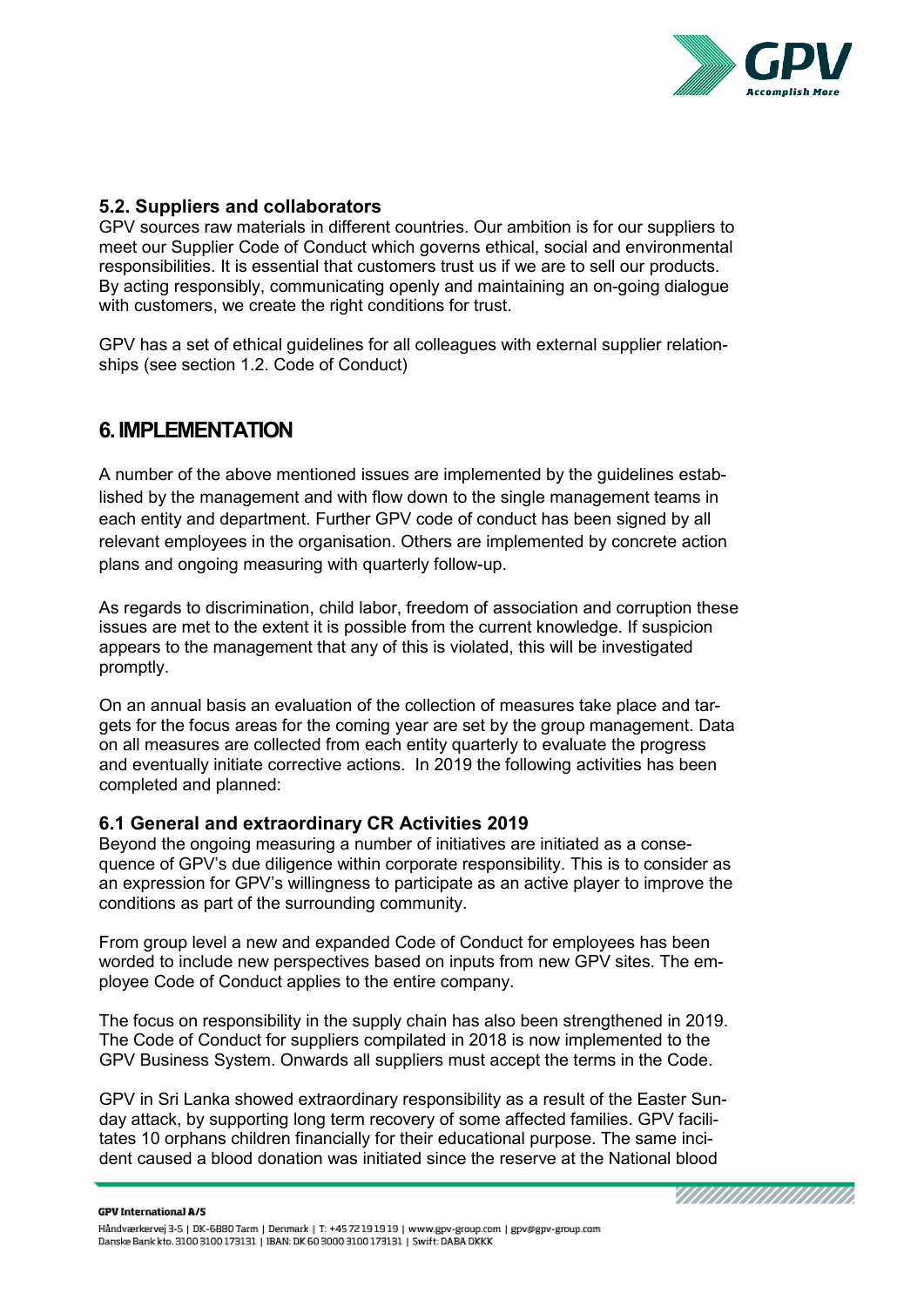

#### <span id="page-6-0"></span>**5.2. Suppliers and collaborators**

GPV sources raw materials in different countries. Our ambition is for our suppliers to meet our Supplier Code of Conduct which governs ethical, social and environmental responsibilities. It is essential that customers trust us if we are to sell our products. By acting responsibly, communicating openly and maintaining an on-going dialogue with customers, we create the right conditions for trust.

<span id="page-6-1"></span>GPV has a set of ethical guidelines for all colleagues with external supplier relationships (see section 1.2. Code of Conduct)

### **6. IMPLEMENTATION**

A number of the above mentioned issues are implemented by the guidelines established by the management and with flow down to the single management teams in each entity and department. Further GPV code of conduct has been signed by all relevant employees in the organisation. Others are implemented by concrete action plans and ongoing measuring with quarterly follow-up.

As regards to discrimination, child labor, freedom of association and corruption these issues are met to the extent it is possible from the current knowledge. If suspicion appears to the management that any of this is violated, this will be investigated promptly.

On an annual basis an evaluation of the collection of measures take place and targets for the focus areas for the coming year are set by the group management. Data on all measures are collected from each entity quarterly to evaluate the progress and eventually initiate corrective actions. In 2019 the following activities has been completed and planned:

#### <span id="page-6-2"></span>**6.1 General and extraordinary CR Activities 2019**

Beyond the ongoing measuring a number of initiatives are initiated as a consequence of GPV's due diligence within corporate responsibility. This is to consider as an expression for GPV's willingness to participate as an active player to improve the conditions as part of the surrounding community.

From group level a new and expanded Code of Conduct for employees has been worded to include new perspectives based on inputs from new GPV sites. The employee Code of Conduct applies to the entire company.

The focus on responsibility in the supply chain has also been strengthened in 2019. The Code of Conduct for suppliers compilated in 2018 is now implemented to the GPV Business System. Onwards all suppliers must accept the terms in the Code.

GPV in Sri Lanka showed extraordinary responsibility as a result of the Easter Sunday attack, by supporting long term recovery of some affected families. GPV facilitates 10 orphans children financially for their educational purpose. The same incident caused a blood donation was initiated since the reserve at the National blood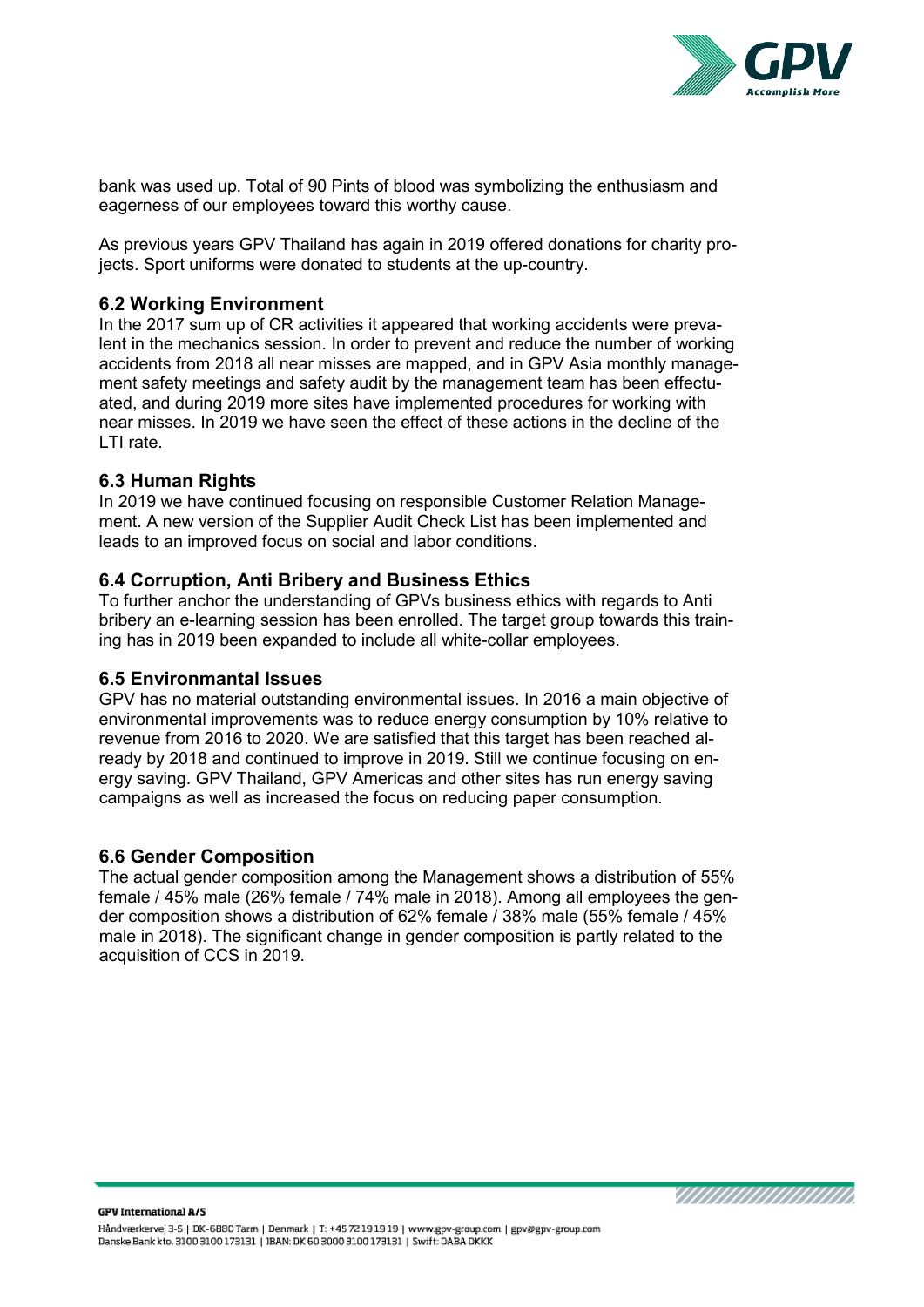

bank was used up. Total of 90 Pints of blood was symbolizing the enthusiasm and eagerness of our employees toward this worthy cause.

As previous years GPV Thailand has again in 2019 offered donations for charity projects. Sport uniforms were donated to students at the up-country.

#### <span id="page-7-0"></span>**6.2 Working Environment**

In the 2017 sum up of CR activities it appeared that working accidents were prevalent in the mechanics session. In order to prevent and reduce the number of working accidents from 2018 all near misses are mapped, and in GPV Asia monthly management safety meetings and safety audit by the management team has been effectuated, and during 2019 more sites have implemented procedures for working with near misses. In 2019 we have seen the effect of these actions in the decline of the LTI rate.

#### <span id="page-7-1"></span>**6.3 Human Rights**

In 2019 we have continued focusing on responsible Customer Relation Management. A new version of the Supplier Audit Check List has been implemented and leads to an improved focus on social and labor conditions.

#### <span id="page-7-2"></span>**6.4 Corruption, Anti Bribery and Business Ethics**

To further anchor the understanding of GPVs business ethics with regards to Anti bribery an e-learning session has been enrolled. The target group towards this training has in 2019 been expanded to include all white-collar employees.

#### <span id="page-7-3"></span>**6.5 Environmantal Issues**

GPV has no material outstanding environmental issues. In 2016 a main objective of environmental improvements was to reduce energy consumption by 10% relative to revenue from 2016 to 2020. We are satisfied that this target has been reached already by 2018 and continued to improve in 2019. Still we continue focusing on energy saving. GPV Thailand, GPV Americas and other sites has run energy saving campaigns as well as increased the focus on reducing paper consumption.

#### <span id="page-7-4"></span>**6.6 Gender Composition**

The actual gender composition among the Management shows a distribution of 55% female / 45% male (26% female / 74% male in 2018). Among all employees the gender composition shows a distribution of 62% female / 38% male (55% female / 45% male in 2018). The significant change in gender composition is partly related to the acquisition of CCS in 2019.